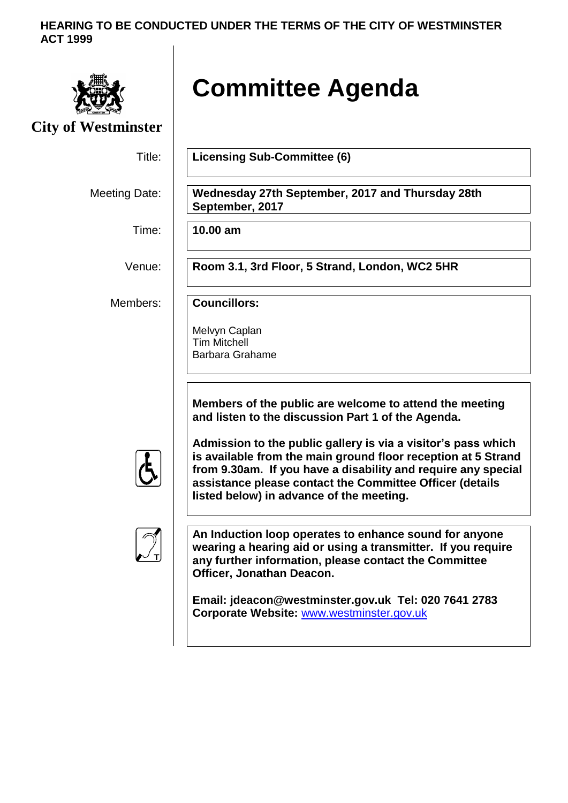## **HEARING TO BE CONDUCTED UNDER THE TERMS OF THE CITY OF WESTMINSTER ACT 1999**



# **Committee Agenda**

**City of Westminster**

Title: **Licensing Sub-Committee (6)**

Meeting Date: **Wednesday 27th September, 2017 and Thursday 28th**

Time: **10.00 am**

Venue: **Room 3.1, 3rd Floor, 5 Strand, London, WC2 5HR**

Members: **Councillors:**

Melvyn Caplan Tim Mitchell Barbara Grahame

**September, 2017**

**Members of the public are welcome to attend the meeting and listen to the discussion Part 1 of the Agenda.**

**Admission to the public gallery is via a visitor's pass which is available from the main ground floor reception at 5 Strand from 9.30am. If you have a disability and require any special assistance please contact the Committee Officer (details listed below) in advance of the meeting.**



**An Induction loop operates to enhance sound for anyone wearing a hearing aid or using a transmitter. If you require any further information, please contact the Committee Officer, Jonathan Deacon.**

**Email: jdeacon@westminster.gov.uk Tel: 020 7641 2783 Corporate Website:** [www.westminster.gov.uk](http://www.westminster.gov.uk/)